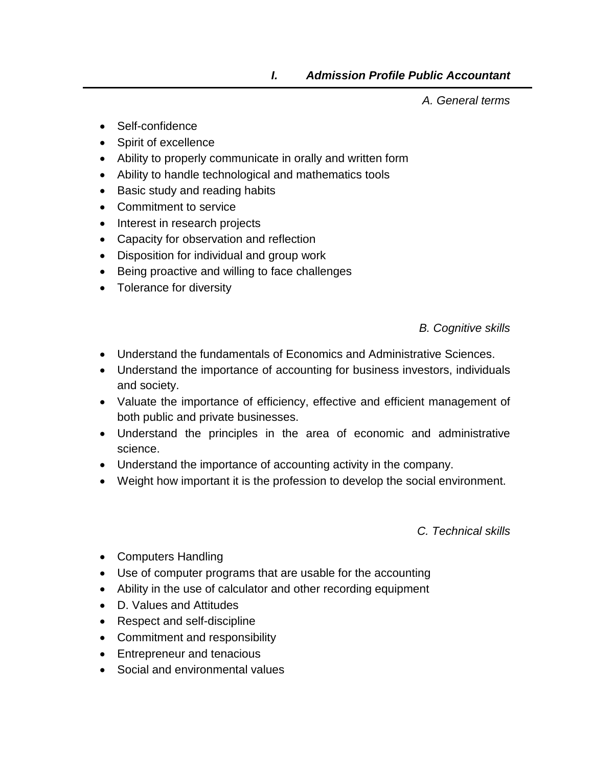*A. General terms*

- Self-confidence
- Spirit of excellence
- Ability to properly communicate in orally and written form
- Ability to handle technological and mathematics tools
- Basic study and reading habits
- Commitment to service
- Interest in research projects
- Capacity for observation and reflection
- Disposition for individual and group work
- Being proactive and willing to face challenges
- Tolerance for diversity

*B. Cognitive skills*

- Understand the fundamentals of Economics and Administrative Sciences.
- Understand the importance of accounting for business investors, individuals and society.
- Valuate the importance of efficiency, effective and efficient management of both public and private businesses.
- Understand the principles in the area of economic and administrative science.
- Understand the importance of accounting activity in the company.
- Weight how important it is the profession to develop the social environment.

*C. Technical skills*

- Computers Handling
- Use of computer programs that are usable for the accounting
- Ability in the use of calculator and other recording equipment
- D. Values and Attitudes
- Respect and self-discipline
- Commitment and responsibility
- Entrepreneur and tenacious
- Social and environmental values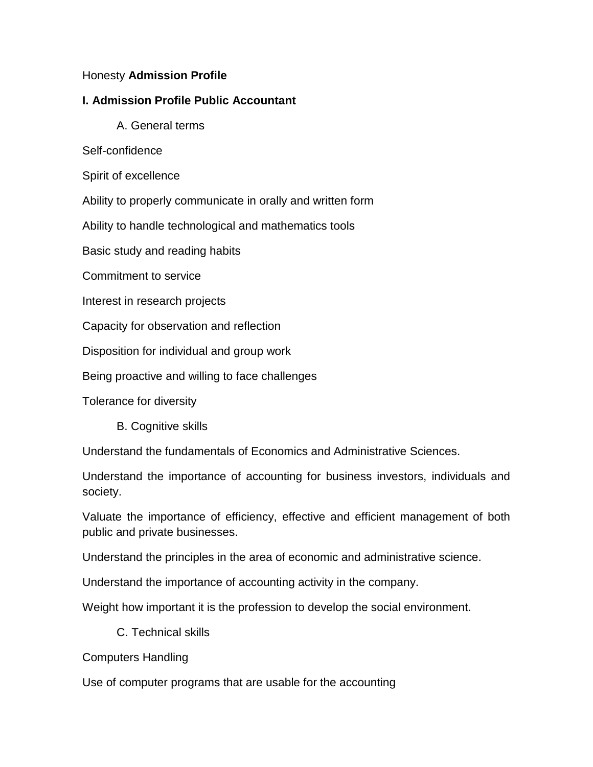## Honesty **Admission Profile**

## **I. Admission Profile Public Accountant**

- A. General terms
- Self-confidence
- Spirit of excellence

Ability to properly communicate in orally and written form

Ability to handle technological and mathematics tools

Basic study and reading habits

Commitment to service

Interest in research projects

Capacity for observation and reflection

Disposition for individual and group work

Being proactive and willing to face challenges

Tolerance for diversity

B. Cognitive skills

Understand the fundamentals of Economics and Administrative Sciences.

Understand the importance of accounting for business investors, individuals and society.

Valuate the importance of efficiency, effective and efficient management of both public and private businesses.

Understand the principles in the area of economic and administrative science.

Understand the importance of accounting activity in the company.

Weight how important it is the profession to develop the social environment.

C. Technical skills

Computers Handling

Use of computer programs that are usable for the accounting